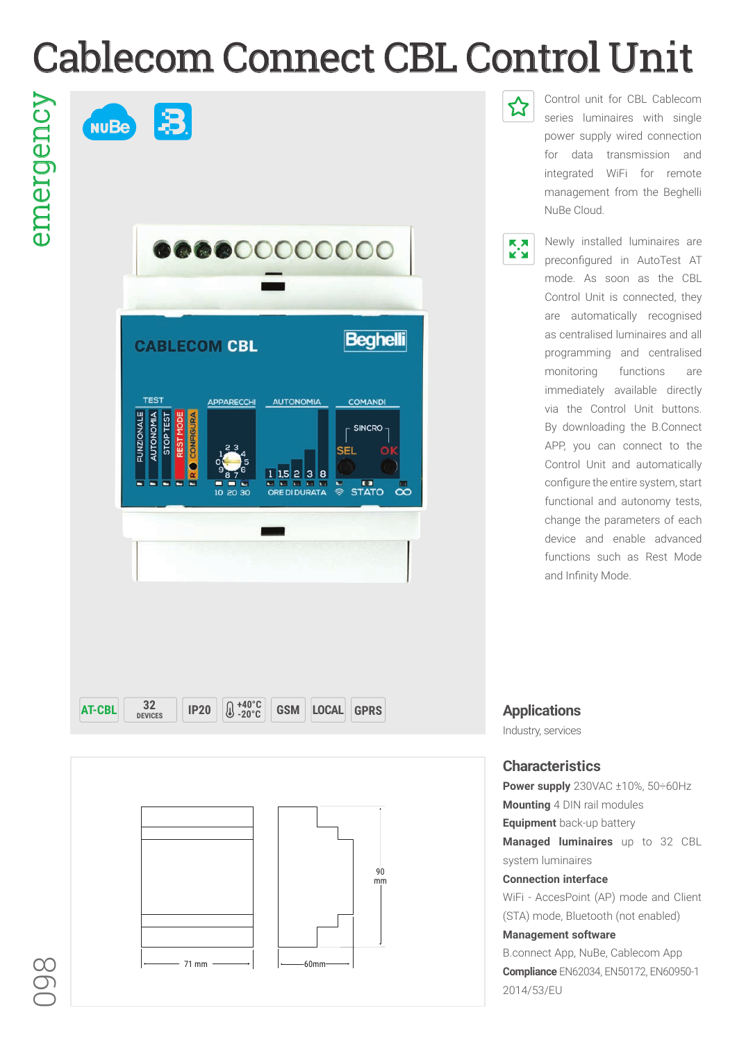## Cablecom Connect CBL Control Unit

emergency emergency





Control unit for CBL Cablecom series luminaires with single power supply wired connection for data transmission and integrated WiFi for remote management from the Beghelli NuBe Cloud.



☆

Newly installed luminaires are preconfigured in AutoTest AT mode. As soon as the CBL Control Unit is connected, they are automatically recognised as centralised luminaires and all programming and centralised monitoring functions are immediately available directly via the Control Unit buttons. By downloading the B.Connect APP, you can connect to the Control Unit and automatically configure the entire system, start functional and autonomy tests, change the parameters of each device and enable advanced functions such as Rest Mode and Infinity Mode.



Industry, services

## **Characteristics**

**Power supply** 230VAC ±10%, 50÷60Hz **Mounting** 4 DIN rail modules **Equipment** back-up battery **Managed luminaires** up to 32 CBL system luminaires **Connection interface**  WiFi - AccesPoint (AP) mode and Client (STA) mode, Bluetooth (not enabled) **Management software** B.connect App, NuBe, Cablecom App **Compliance** EN62034, EN50172, EN60950-1 2014/53/EU